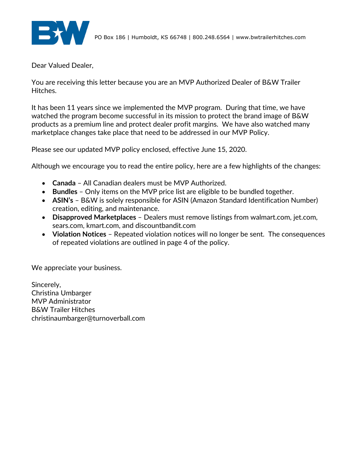

Dear Valued Dealer,

You are receiving this letter because you are an MVP Authorized Dealer of B&W Trailer Hitches.

It has been 11 years since we implemented the MVP program. During that time, we have watched the program become successful in its mission to protect the brand image of B&W products as a premium line and protect dealer profit margins. We have also watched many marketplace changes take place that need to be addressed in our MVP Policy.

Please see our updated MVP policy enclosed, effective June 15, 2020.

Although we encourage you to read the entire policy, here are a few highlights of the changes:

- **Canada** All Canadian dealers must be MVP Authorized.
- **Bundles** Only items on the MVP price list are eligible to be bundled together.
- **ASIN's** B&W is solely responsible for ASIN (Amazon Standard Identification Number) creation, editing, and maintenance.
- **Disapproved Marketplaces** Dealers must remove listings from walmart.com, jet.com, sears.com, kmart.com, and discountbandit.com
- **Violation Notices** Repeated violation notices will no longer be sent. The consequences of repeated violations are outlined in page 4 of the policy.

We appreciate your business.

Sincerely, Christina Umbarger MVP Administrator B&W Trailer Hitches christinaumbarger@turnoverball.com